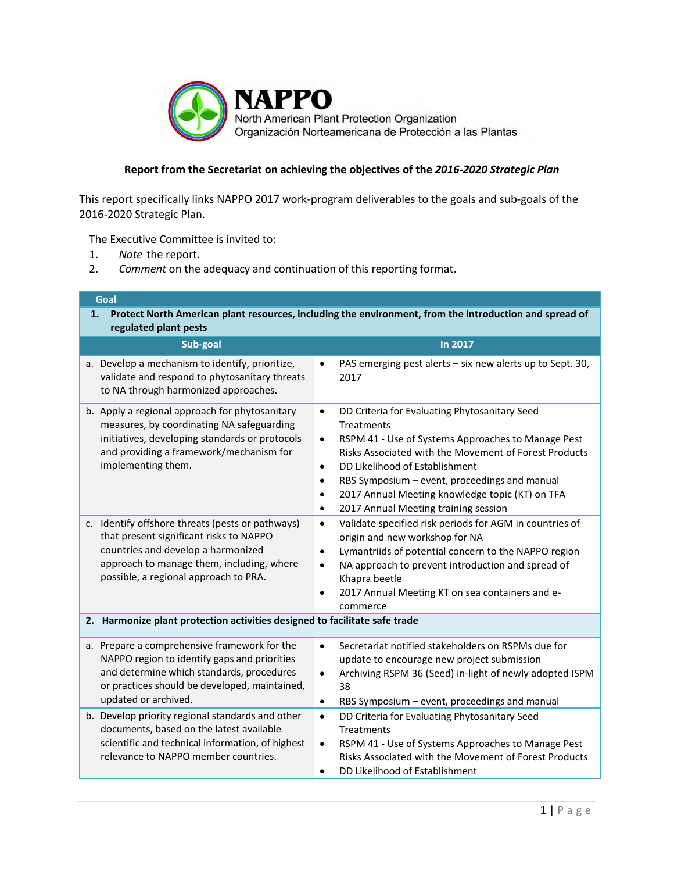

## **Report from the Secretariat on achieving the objectives of the** *2016-2020 Strategic Plan*

This report specifically links NAPPO 2017 work-program deliverables to the goals and sub-goals of the 2016-2020 Strategic Plan.

The Executive Committee is invited to:

- 1. *Note* the report.
- 2. *Comment* on the adequacy and continuation of this reporting format.

| Goal                                                                                                                                                                                                                    |                                                                                                                                                                                                                                                                                                                                                                                                                                  |  |  |  |
|-------------------------------------------------------------------------------------------------------------------------------------------------------------------------------------------------------------------------|----------------------------------------------------------------------------------------------------------------------------------------------------------------------------------------------------------------------------------------------------------------------------------------------------------------------------------------------------------------------------------------------------------------------------------|--|--|--|
| Protect North American plant resources, including the environment, from the introduction and spread of<br>1.<br>regulated plant pests                                                                                   |                                                                                                                                                                                                                                                                                                                                                                                                                                  |  |  |  |
| Sub-goal                                                                                                                                                                                                                | <b>In 2017</b>                                                                                                                                                                                                                                                                                                                                                                                                                   |  |  |  |
| a. Develop a mechanism to identify, prioritize,<br>validate and respond to phytosanitary threats<br>to NA through harmonized approaches.                                                                                | PAS emerging pest alerts - six new alerts up to Sept. 30,<br>2017                                                                                                                                                                                                                                                                                                                                                                |  |  |  |
| b. Apply a regional approach for phytosanitary<br>measures, by coordinating NA safeguarding<br>initiatives, developing standards or protocols<br>and providing a framework/mechanism for<br>implementing them.          | DD Criteria for Evaluating Phytosanitary Seed<br>$\bullet$<br><b>Treatments</b><br>RSPM 41 - Use of Systems Approaches to Manage Pest<br>$\bullet$<br>Risks Associated with the Movement of Forest Products<br>DD Likelihood of Establishment<br>$\bullet$<br>RBS Symposium - event, proceedings and manual<br>2017 Annual Meeting knowledge topic (KT) on TFA<br>$\bullet$<br>2017 Annual Meeting training session<br>$\bullet$ |  |  |  |
| c. Identify offshore threats (pests or pathways)<br>that present significant risks to NAPPO<br>countries and develop a harmonized<br>approach to manage them, including, where<br>possible, a regional approach to PRA. | Validate specified risk periods for AGM in countries of<br>$\bullet$<br>origin and new workshop for NA<br>Lymantriids of potential concern to the NAPPO region<br>$\bullet$<br>NA approach to prevent introduction and spread of<br>Khapra beetle<br>2017 Annual Meeting KT on sea containers and e-<br>commerce                                                                                                                 |  |  |  |
| 2. Harmonize plant protection activities designed to facilitate safe trade                                                                                                                                              |                                                                                                                                                                                                                                                                                                                                                                                                                                  |  |  |  |
| a. Prepare a comprehensive framework for the<br>NAPPO region to identify gaps and priorities<br>and determine which standards, procedures<br>or practices should be developed, maintained,<br>updated or archived.      | Secretariat notified stakeholders on RSPMs due for<br>$\bullet$<br>update to encourage new project submission<br>Archiving RSPM 36 (Seed) in-light of newly adopted ISPM<br>$\bullet$<br>38<br>RBS Symposium - event, proceedings and manual<br>$\bullet$                                                                                                                                                                        |  |  |  |
| b. Develop priority regional standards and other<br>documents, based on the latest available<br>scientific and technical information, of highest<br>relevance to NAPPO member countries.                                | DD Criteria for Evaluating Phytosanitary Seed<br>$\bullet$<br>Treatments<br>RSPM 41 - Use of Systems Approaches to Manage Pest<br>$\bullet$<br>Risks Associated with the Movement of Forest Products<br>DD Likelihood of Establishment<br>٠                                                                                                                                                                                      |  |  |  |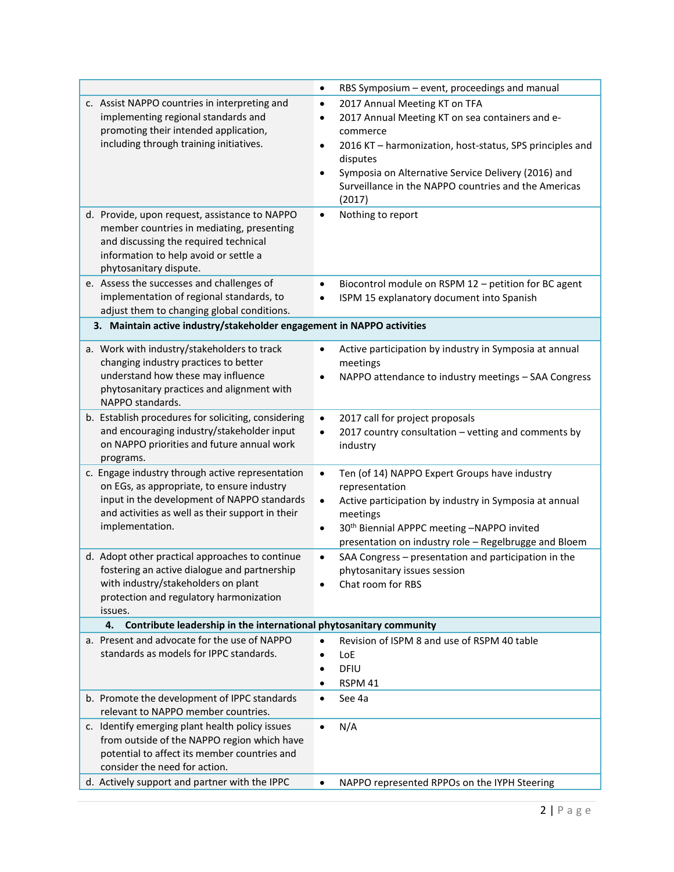|                                                                                                                                                                                                                      | RBS Symposium - event, proceedings and manual<br>$\bullet$                                                                                                                                                                                                                                                 |  |  |  |
|----------------------------------------------------------------------------------------------------------------------------------------------------------------------------------------------------------------------|------------------------------------------------------------------------------------------------------------------------------------------------------------------------------------------------------------------------------------------------------------------------------------------------------------|--|--|--|
| c. Assist NAPPO countries in interpreting and<br>implementing regional standards and<br>promoting their intended application,<br>including through training initiatives.                                             | 2017 Annual Meeting KT on TFA<br>$\bullet$<br>2017 Annual Meeting KT on sea containers and e-<br>commerce<br>2016 KT - harmonization, host-status, SPS principles and<br>disputes<br>Symposia on Alternative Service Delivery (2016) and<br>Surveillance in the NAPPO countries and the Americas<br>(2017) |  |  |  |
| d. Provide, upon request, assistance to NAPPO<br>member countries in mediating, presenting<br>and discussing the required technical<br>information to help avoid or settle a<br>phytosanitary dispute.               | Nothing to report<br>$\bullet$                                                                                                                                                                                                                                                                             |  |  |  |
| e. Assess the successes and challenges of<br>implementation of regional standards, to<br>adjust them to changing global conditions.                                                                                  | Biocontrol module on RSPM 12 - petition for BC agent<br>ISPM 15 explanatory document into Spanish                                                                                                                                                                                                          |  |  |  |
| 3. Maintain active industry/stakeholder engagement in NAPPO activities                                                                                                                                               |                                                                                                                                                                                                                                                                                                            |  |  |  |
| a. Work with industry/stakeholders to track<br>changing industry practices to better<br>understand how these may influence<br>phytosanitary practices and alignment with<br>NAPPO standards.                         | Active participation by industry in Symposia at annual<br>meetings<br>NAPPO attendance to industry meetings - SAA Congress                                                                                                                                                                                 |  |  |  |
| b. Establish procedures for soliciting, considering<br>and encouraging industry/stakeholder input<br>on NAPPO priorities and future annual work<br>programs.                                                         | 2017 call for project proposals<br>$\bullet$<br>2017 country consultation - vetting and comments by<br>٠<br>industry                                                                                                                                                                                       |  |  |  |
| c. Engage industry through active representation<br>on EGs, as appropriate, to ensure industry<br>input in the development of NAPPO standards<br>and activities as well as their support in their<br>implementation. | Ten (of 14) NAPPO Expert Groups have industry<br>$\bullet$<br>representation<br>Active participation by industry in Symposia at annual<br>$\bullet$<br>meetings<br>30 <sup>th</sup> Biennial APPPC meeting -NAPPO invited<br>$\bullet$<br>presentation on industry role - Regelbrugge and Bloem            |  |  |  |
| d. Adopt other practical approaches to continue<br>fostering an active dialogue and partnership<br>with industry/stakeholders on plant<br>protection and regulatory harmonization<br>issues.                         | SAA Congress - presentation and participation in the<br>$\bullet$<br>phytosanitary issues session<br>Chat room for RBS                                                                                                                                                                                     |  |  |  |
| Contribute leadership in the international phytosanitary community<br>4.                                                                                                                                             |                                                                                                                                                                                                                                                                                                            |  |  |  |
| a. Present and advocate for the use of NAPPO<br>standards as models for IPPC standards.                                                                                                                              | Revision of ISPM 8 and use of RSPM 40 table<br>LoE<br>DFIU<br>RSPM 41                                                                                                                                                                                                                                      |  |  |  |
| b. Promote the development of IPPC standards<br>relevant to NAPPO member countries.                                                                                                                                  | See 4a<br>$\bullet$                                                                                                                                                                                                                                                                                        |  |  |  |
| c. Identify emerging plant health policy issues<br>from outside of the NAPPO region which have<br>potential to affect its member countries and<br>consider the need for action.                                      | N/A                                                                                                                                                                                                                                                                                                        |  |  |  |
| d. Actively support and partner with the IPPC                                                                                                                                                                        | NAPPO represented RPPOs on the IYPH Steering                                                                                                                                                                                                                                                               |  |  |  |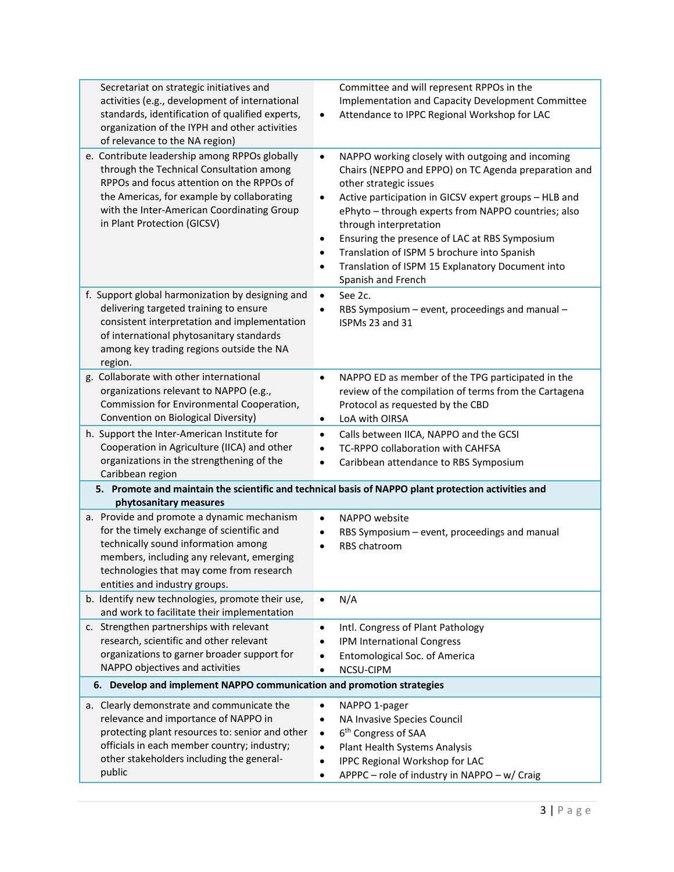| Secretariat on strategic initiatives and                              | Committee and will represent RPPOs in the                                                           |
|-----------------------------------------------------------------------|-----------------------------------------------------------------------------------------------------|
| activities (e.g., development of international                        | Implementation and Capacity Development Committee                                                   |
| standards, identification of qualified experts,                       | Attendance to IPPC Regional Workshop for LAC<br>$\bullet$                                           |
| organization of the IYPH and other activities                         |                                                                                                     |
| of relevance to the NA region)                                        |                                                                                                     |
| e. Contribute leadership among RPPOs globally                         | NAPPO working closely with outgoing and incoming<br>$\bullet$                                       |
| through the Technical Consultation among                              | Chairs (NEPPO and EPPO) on TC Agenda preparation and                                                |
| RPPOs and focus attention on the RPPOs of                             | other strategic issues                                                                              |
| the Americas, for example by collaborating                            | Active participation in GICSV expert groups - HLB and<br>$\bullet$                                  |
| with the Inter-American Coordinating Group                            | ePhyto - through experts from NAPPO countries; also                                                 |
| in Plant Protection (GICSV)                                           | through interpretation                                                                              |
|                                                                       | Ensuring the presence of LAC at RBS Symposium<br>$\bullet$                                          |
|                                                                       | Translation of ISPM 5 brochure into Spanish                                                         |
|                                                                       | Translation of ISPM 15 Explanatory Document into<br>$\bullet$                                       |
|                                                                       |                                                                                                     |
|                                                                       | Spanish and French                                                                                  |
| f. Support global harmonization by designing and                      | See 2c.                                                                                             |
| delivering targeted training to ensure                                | RBS Symposium - event, proceedings and manual -                                                     |
| consistent interpretation and implementation                          | ISPMs 23 and 31                                                                                     |
| of international phytosanitary standards                              |                                                                                                     |
| among key trading regions outside the NA                              |                                                                                                     |
| region.                                                               |                                                                                                     |
| g. Collaborate with other international                               | NAPPO ED as member of the TPG participated in the<br>$\bullet$                                      |
| organizations relevant to NAPPO (e.g.,                                | review of the compilation of terms from the Cartagena                                               |
| Commission for Environmental Cooperation,                             | Protocol as requested by the CBD                                                                    |
| Convention on Biological Diversity)                                   | LoA with OIRSA<br>$\bullet$                                                                         |
| h. Support the Inter-American Institute for                           | Calls between IICA, NAPPO and the GCSI<br>٠                                                         |
| Cooperation in Agriculture (IICA) and other                           | TC-RPPO collaboration with CAHFSA                                                                   |
| organizations in the strengthening of the                             | Caribbean attendance to RBS Symposium<br>$\bullet$                                                  |
| Caribbean region                                                      |                                                                                                     |
|                                                                       | 5. Promote and maintain the scientific and technical basis of NAPPO plant protection activities and |
| phytosanitary measures                                                |                                                                                                     |
| a. Provide and promote a dynamic mechanism                            | NAPPO website<br>$\bullet$                                                                          |
| for the timely exchange of scientific and                             | RBS Symposium - event, proceedings and manual                                                       |
| technically sound information among                                   | RBS chatroom                                                                                        |
| members, including any relevant, emerging                             |                                                                                                     |
| technologies that may come from research                              |                                                                                                     |
| entities and industry groups.                                         |                                                                                                     |
| b. Identify new technologies, promote their use,                      | N/A                                                                                                 |
| and work to facilitate their implementation                           |                                                                                                     |
| c. Strengthen partnerships with relevant                              | Intl. Congress of Plant Pathology<br>$\bullet$                                                      |
| research, scientific and other relevant                               | IPM International Congress                                                                          |
| organizations to garner broader support for                           | Entomological Soc. of America                                                                       |
| NAPPO objectives and activities                                       | NCSU-CIPM                                                                                           |
| 6. Develop and implement NAPPO communication and promotion strategies |                                                                                                     |
|                                                                       |                                                                                                     |
| a. Clearly demonstrate and communicate the                            | NAPPO 1-pager                                                                                       |
| relevance and importance of NAPPO in                                  | NA Invasive Species Council                                                                         |
| protecting plant resources to: senior and other                       | 6 <sup>th</sup> Congress of SAA<br>$\bullet$                                                        |
| officials in each member country; industry;                           | Plant Health Systems Analysis<br>$\bullet$                                                          |
| other stakeholders including the general-                             | IPPC Regional Workshop for LAC<br>$\bullet$                                                         |
| public                                                                | APPPC - role of industry in NAPPO - w/ Craig                                                        |